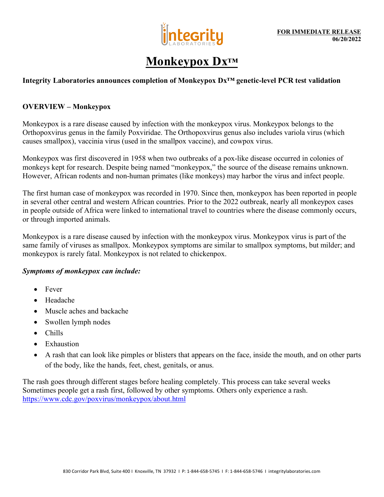

# **Monkeypox Dx™**

## **Integrity Laboratories announces completion of Monkeypox Dx™ genetic-level PCR test validation**

#### **OVERVIEW – Monkeypox**

Monkeypox is a rare disease caused by infection with the monkeypox virus. Monkeypox belongs to the Orthopoxvirus genus in the family Poxviridae. The Orthopoxvirus genus also includes variola virus (which causes smallpox), vaccinia virus (used in the smallpox vaccine), and cowpox virus.

Monkeypox was first discovered in 1958 when two outbreaks of a pox-like disease occurred in colonies of monkeys kept for research. Despite being named "monkeypox," the source of the disease remains unknown. However, African rodents and non-human primates (like monkeys) may harbor the virus and infect people.

The first human case of monkeypox was recorded in 1970. Since then, monkeypox has been reported in people in several other central and western African countries. Prior to the 2022 outbreak, nearly all monkeypox cases in people outside of Africa were linked to international travel to countries where the disease commonly occurs, or through imported animals.

Monkeypox is a rare disease caused by infection with the monkeypox virus. Monkeypox virus is part of the same family of viruses as smallpox. Monkeypox symptoms are similar to smallpox symptoms, but milder; and monkeypox is rarely fatal. Monkeypox is not related to chickenpox.

#### *Symptoms of monkeypox can include:*

- Fever
- Headache
- Muscle aches and backache
- Swollen lymph nodes
- Chills
- Exhaustion
- A rash that can look like pimples or blisters that appears on the face, inside the mouth, and on other parts of the body, like the hands, feet, chest, genitals, or anus.

The rash goes through different stages before healing completely. This process can take several weeks Sometimes people get a rash first, followed by other symptoms. Others only experience a rash. <https://www.cdc.gov/poxvirus/monkeypox/about.html>